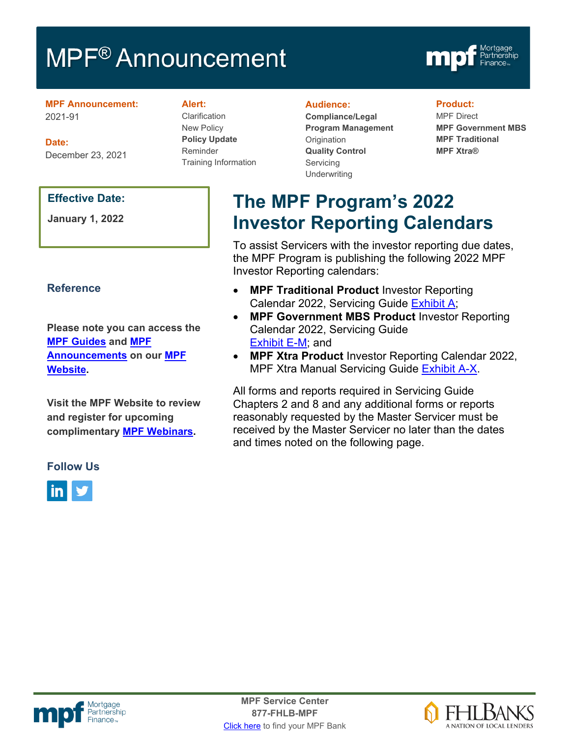# MPF<sup>®</sup> Announcement



#### **MPF Announcement:** 2021-91

**Date:** December 23, 2021

### **Effective Date:**

**January 1, 2022**

## **Reference**

**Please note you can access the [MPF Guides](https://fhlbmpf.com/mpf-guides/guides) and [MPF](https://fhlbmpf.com/mpf-guides/announcements)  [Announcements](https://fhlbmpf.com/mpf-guides/announcements) on our [MPF](https://fhlbmpf.com/)  [Website.](https://fhlbmpf.com/)** 

**Visit the MPF Website to review and register for upcoming complimentary [MPF Webinars.](https://www.fhlbmpf.com/education/upcoming-webinars)**

### **Alert:**

Clarification New Policy **Policy Update** Reminder Training Information

#### **Audience:**

**Compliance/Legal Program Management Origination Quality Control** Servicing **Underwriting** 

#### **Product:**

MPF Direct **MPF Government MBS MPF Traditional MPF Xtra®**

# **The MPF Program's 2022 Investor Reporting Calendars**

To assist Servicers with the investor reporting due dates, the MPF Program is publishing the following 2022 MPF Investor Reporting calendars:

- **MPF Traditional Product** Investor Reporting Calendar 2022, Servicing Guide [Exhibit A;](https://www.fhlbmpf.com/docs/default-source/exhibit-a-2021-mpf-traditional-product-investor-reporting-calendar/exhibit-a--mpf-traditional-calendar-2022.pdf?sfvrsn=ae438944_0)
- **MPF Government MBS Product** Investor Reporting Calendar 2022, Servicing Guide [Exhibit E-M;](https://www.fhlbmpf.com/docs/default-source/exhibit-e-m-2021-mpf-government-mbs-investor-reporting-calendar/exhibit-e-m-mpf-gov-mbs-2022.pdf?sfvrsn=ac2bd158_0) and
- **MPF Xtra Product** Investor Reporting Calendar 2022, MPF Xtra Manual Servicing Guide [Exhibit A-X.](https://www.fhlbmpf.com/docs/default-source/exhibit-a-x-2021-mpf-xtra-investor-reporting-calendar/exhibit-a-x-mpf-xtra-investor-calendar-2022.pdf?sfvrsn=383e0ab1_0)

All forms and reports required in Servicing Guide Chapters 2 and 8 and any additional forms or reports reasonably requested by the Master Servicer must be received by the Master Servicer no later than the dates and times noted on the following page.

### **Follow Us**